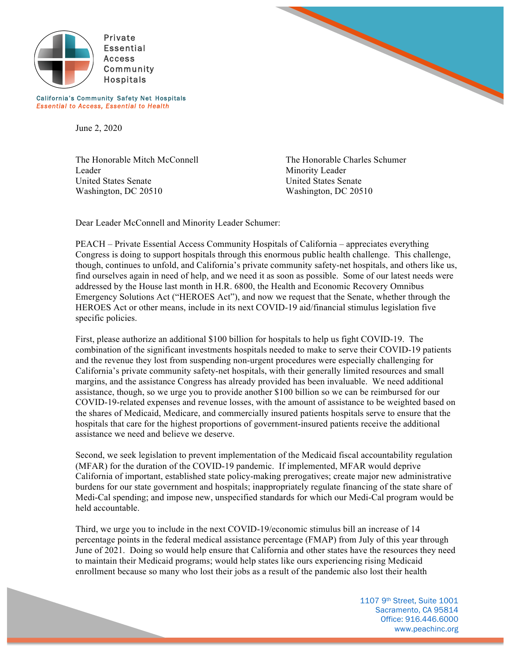



*Essential to Access, Essential to Health* 

California's Community Safety Net Hospitals

June 2, 2020

The Honorable Mitch McConnell The Honorable Charles Schumer Leader Minority Leader United States Senate United States Senate Washington, DC 20510 Washington, DC 20510

Dear Leader McConnell and Minority Leader Schumer:

PEACH – Private Essential Access Community Hospitals of California – appreciates everything Congress is doing to support hospitals through this enormous public health challenge. This challenge, though, continues to unfold, and California's private community safety-net hospitals, and others like us, find ourselves again in need of help, and we need it as soon as possible. Some of our latest needs were addressed by the House last month in H.R. 6800, the Health and Economic Recovery Omnibus Emergency Solutions Act ("HEROES Act"), and now we request that the Senate, whether through the HEROES Act or other means, include in its next COVID-19 aid/financial stimulus legislation five specific policies.

First, please authorize an additional \$100 billion for hospitals to help us fight COVID-19. The combination of the significant investments hospitals needed to make to serve their COVID-19 patients and the revenue they lost from suspending non-urgent procedures were especially challenging for California's private community safety-net hospitals, with their generally limited resources and small margins, and the assistance Congress has already provided has been invaluable. We need additional assistance, though, so we urge you to provide another \$100 billion so we can be reimbursed for our COVID-19-related expenses and revenue losses, with the amount of assistance to be weighted based on the shares of Medicaid, Medicare, and commercially insured patients hospitals serve to ensure that the hospitals that care for the highest proportions of government-insured patients receive the additional assistance we need and believe we deserve.

Second, we seek legislation to prevent implementation of the Medicaid fiscal accountability regulation (MFAR) for the duration of the COVID-19 pandemic. If implemented, MFAR would deprive California of important, established state policy-making prerogatives; create major new administrative burdens for our state government and hospitals; inappropriately regulate financing of the state share of Medi-Cal spending; and impose new, unspecified standards for which our Medi-Cal program would be held accountable.

Third, we urge you to include in the next COVID-19/economic stimulus bill an increase of 14 percentage points in the federal medical assistance percentage (FMAP) from July of this year through June of 2021. Doing so would help ensure that California and other states have the resources they need to maintain their Medicaid programs; would help states like ours experiencing rising Medicaid enrollment because so many who lost their jobs as a result of the pandemic also lost their health

> 1107 9th Street, Suite 1001 Sacramento, CA 95814 Office: 916.446.6000 www.peachinc.org